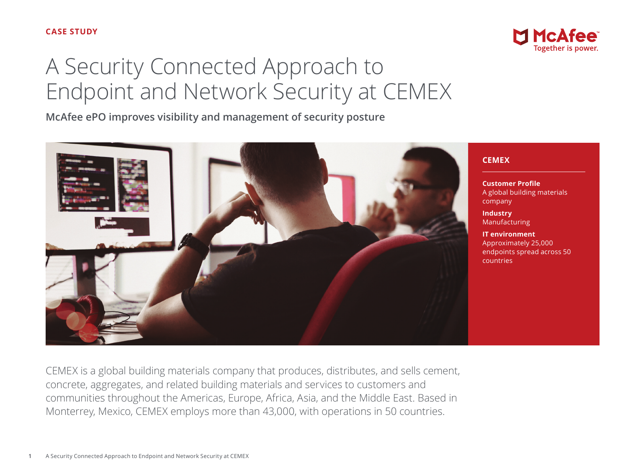# A Security Connected Approach to Endpoint and Network Security at CEMEX

**McAfee ePO improves visibility and management of security posture**



**CEMEX**

**Customer Profile** A global building materials company

**McAfee** 

**Industry** Manufacturing

**IT environment** Approximately 25,000 endpoints spread across 50 countries

CEMEX is a global building materials company that produces, distributes, and sells cement, concrete, aggregates, and related building materials and services to customers and communities throughout the Americas, Europe, Africa, Asia, and the Middle East. Based in Monterrey, Mexico, CEMEX employs more than 43,000, with operations in 50 countries.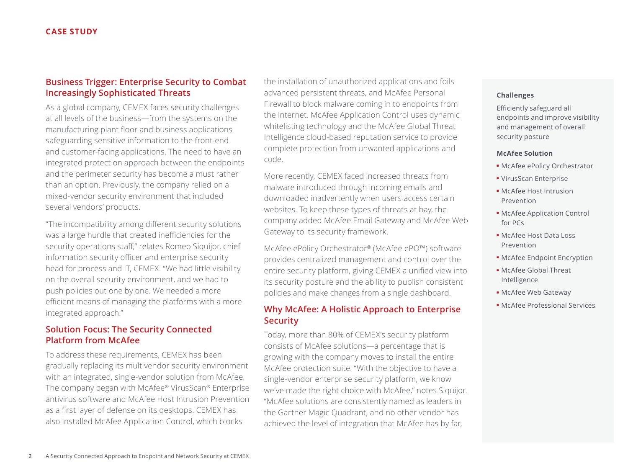# **Business Trigger: Enterprise Security to Combat Increasingly Sophisticated Threats**

As a global company, CEMEX faces security challenges at all levels of the business—from the systems on the manufacturing plant floor and business applications safeguarding sensitive information to the front-end and customer-facing applications. The need to have an integrated protection approach between the endpoints and the perimeter security has become a must rather than an option. Previously, the company relied on a mixed-vendor security environment that included several vendors' products.

"The incompatibility among different security solutions was a large hurdle that created inefficiencies for the security operations staff," relates Romeo Siquijor, chief information security officer and enterprise security head for process and IT, CEMEX. "We had little visibility on the overall security environment, and we had to push policies out one by one. We needed a more efficient means of managing the platforms with a more integrated approach."

# **Solution Focus: The Security Connected Platform from McAfee**

To address these requirements, CEMEX has been gradually replacing its multivendor security environment with an integrated, single-vendor solution from McAfee. The company began with McAfee® VirusScan® Enterprise antivirus software and McAfee Host Intrusion Prevention as a first layer of defense on its desktops. CEMEX has also installed McAfee Application Control, which blocks

the installation of unauthorized applications and foils advanced persistent threats, and McAfee Personal Firewall to block malware coming in to endpoints from the Internet. McAfee Application Control uses dynamic whitelisting technology and the McAfee Global Threat Intelligence cloud-based reputation service to provide complete protection from unwanted applications and code.

More recently, CEMEX faced increased threats from malware introduced through incoming emails and downloaded inadvertently when users access certain websites. To keep these types of threats at bay, the company added McAfee Email Gateway and McAfee Web Gateway to its security framework.

McAfee ePolicy Orchestrator® (McAfee ePO™) software provides centralized management and control over the entire security platform, giving CEMEX a unified view into its security posture and the ability to publish consistent policies and make changes from a single dashboard.

# **Why McAfee: A Holistic Approach to Enterprise Security**

Today, more than 80% of CEMEX's security platform consists of McAfee solutions—a percentage that is growing with the company moves to install the entire McAfee protection suite. "With the objective to have a single-vendor enterprise security platform, we know we've made the right choice with McAfee," notes Siquijor. "McAfee solutions are consistently named as leaders in the Gartner Magic Quadrant, and no other vendor has achieved the level of integration that McAfee has by far,

#### **Challenges**

Efficiently safeguard all endpoints and improve visibility and management of overall security posture

#### **McAfee Solution**

- McAfee ePolicy Orchestrator
- VirusScan Enterprise
- McAfee Host Intrusion Prevention
- McAfee Application Control for PCs
- McAfee Host Data Loss Prevention
- McAfee Endpoint Encryption
- McAfee Global Threat Intelligence
- McAfee Web Gateway
- McAfee Professional Services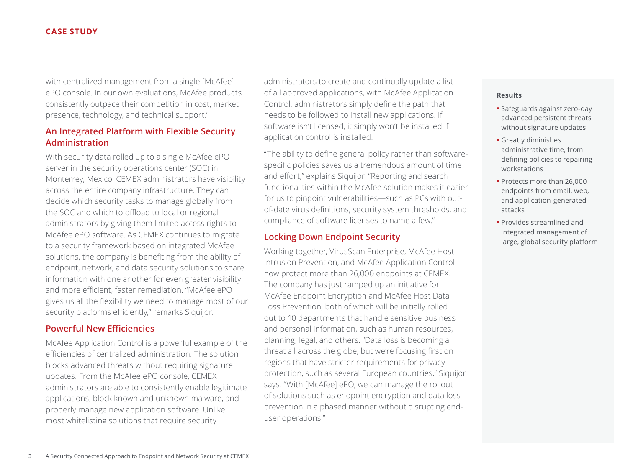#### **CASE STUDY**

with centralized management from a single [McAfee] ePO console. In our own evaluations, McAfee products consistently outpace their competition in cost, market presence, technology, and technical support."

# **An Integrated Platform with Flexible Security Administration**

With security data rolled up to a single McAfee ePO server in the security operations center (SOC) in Monterrey, Mexico, CEMEX administrators have visibility across the entire company infrastructure. They can decide which security tasks to manage globally from the SOC and which to offload to local or regional administrators by giving them limited access rights to McAfee ePO software. As CEMEX continues to migrate to a security framework based on integrated McAfee solutions, the company is benefiting from the ability of endpoint, network, and data security solutions to share information with one another for even greater visibility and more efficient, faster remediation. "McAfee ePO gives us all the flexibility we need to manage most of our security platforms efficiently," remarks Siquijor.

## **Powerful New Efficiencies**

McAfee Application Control is a powerful example of the efficiencies of centralized administration. The solution blocks advanced threats without requiring signature updates. From the McAfee ePO console, CEMEX administrators are able to consistently enable legitimate applications, block known and unknown malware, and properly manage new application software. Unlike most whitelisting solutions that require security

administrators to create and continually update a list of all approved applications, with McAfee Application Control, administrators simply define the path that needs to be followed to install new applications. If software isn't licensed, it simply won't be installed if application control is installed.

"The ability to define general policy rather than softwarespecific policies saves us a tremendous amount of time and effort," explains Siquijor. "Reporting and search functionalities within the McAfee solution makes it easier for us to pinpoint vulnerabilities—such as PCs with outof-date virus definitions, security system thresholds, and compliance of software licenses to name a few."

## **Locking Down Endpoint Security**

Working together, VirusScan Enterprise, McAfee Host Intrusion Prevention, and McAfee Application Control now protect more than 26,000 endpoints at CEMEX. The company has just ramped up an initiative for McAfee Endpoint Encryption and McAfee Host Data Loss Prevention, both of which will be initially rolled out to 10 departments that handle sensitive business and personal information, such as human resources, planning, legal, and others. "Data loss is becoming a threat all across the globe, but we're focusing first on regions that have stricter requirements for privacy protection, such as several European countries," Siquijor says. "With [McAfee] ePO, we can manage the rollout of solutions such as endpoint encryption and data loss prevention in a phased manner without disrupting enduser operations."

#### **Results**

- Safeguards against zero-day advanced persistent threats without signature updates
- Greatly diminishes administrative time, from defining policies to repairing workstations
- Protects more than 26,000 endpoints from email, web, and application-generated attacks
- Provides streamlined and integrated management of large, global security platform